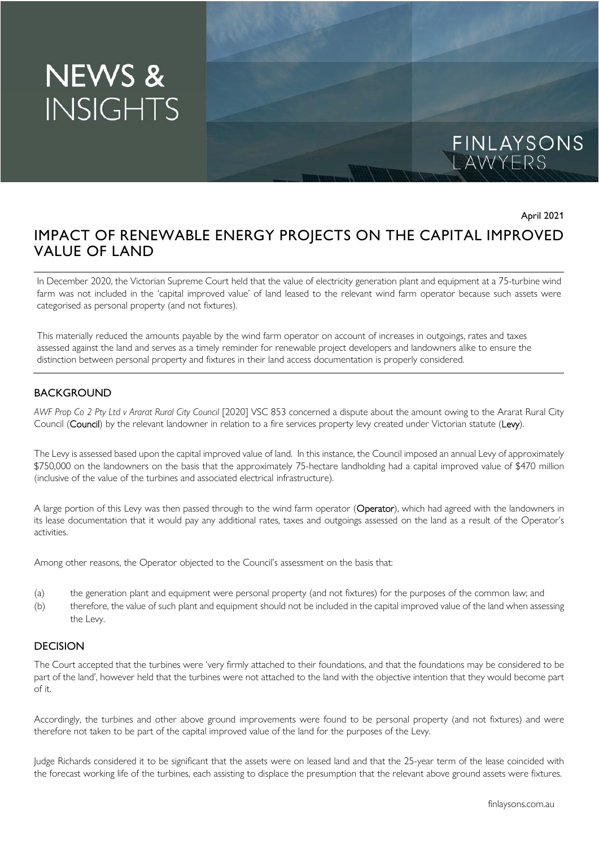# **NEWS & INSIGHTS**



April 2021

## IMPACT OF RENEWABLE ENERGY PROJECTS ON THE CAPITAL IMPROVED VALUE OF LAND

In December 2020, the Victorian Supreme Court held that the value of electricity generation plant and equipment at a 75-turbine wind farm was not included in the 'capital improved value' of land leased to the relevant wind farm operator because such assets were categorised as personal property (and not fixtures).

This materially reduced the amounts payable by the wind farm operator on account of increases in outgoings, rates and taxes assessed against the land and serves as a timely reminder for renewable project developers and landowners alike to ensure the distinction between personal property and fixtures in their land access documentation is properly considered.

### **BACKGROUND**

*AWF Prop Co 2 Pty Ltd v Ararat Rural City Council* [2020] VSC 853 concerned a dispute about the amount owing to the Ararat Rural City Council (Council) by the relevant landowner in relation to a fire services property levy created under Victorian statute (Levy).

The Levy is assessed based upon the capital improved value of land. In this instance, the Council imposed an annual Levy of approximately \$750,000 on the landowners on the basis that the approximately 75-hectare landholding had a capital improved value of \$470 million (inclusive of the value of the turbines and associated electrical infrastructure).

A large portion of this Levy was then passed through to the wind farm operator (Operator), which had agreed with the landowners in its lease documentation that it would pay any additional rates, taxes and outgoings assessed on the land as a result of the Operator's activities.

Among other reasons, the Operator objected to the Council's assessment on the basis that:

- (a) the generation plant and equipment were personal property (and not fixtures) for the purposes of the common law; and
- (b) therefore, the value of such plant and equipment should not be included in the capital improved value of the land when assessing the Levy.

#### **DECISION**

The Court accepted that the turbines were 'very firmly attached to their foundations, and that the foundations may be considered to be part of the land', however held that the turbines were not attached to the land with the objective intention that they would become part of it.

Accordingly, the turbines and other above ground improvements were found to be personal property (and not fixtures) and were therefore not taken to be part of the capital improved value of the land for the purposes of the Levy.

Judge Richards considered it to be significant that the assets were on leased land and that the 25-year term of the lease coincided with the forecast working life of the turbines, each assisting to displace the presumption that the relevant above ground assets were fixtures.